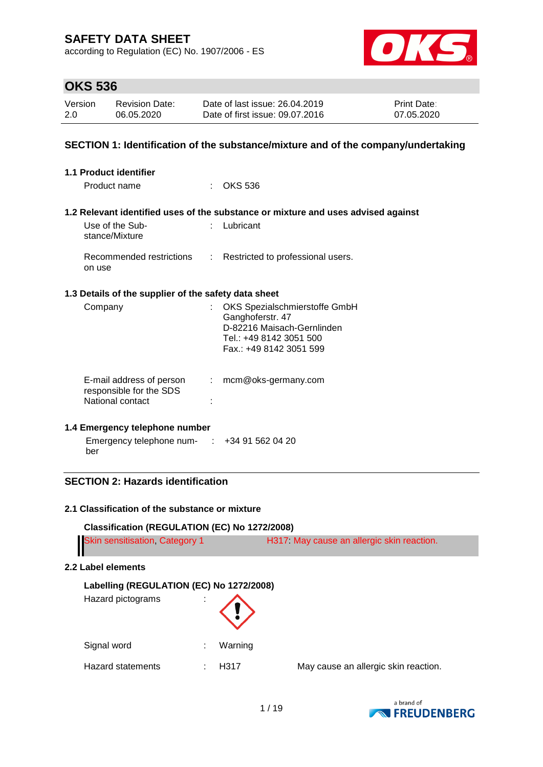according to Regulation (EC) No. 1907/2006 - ES



# **OKS 536**

| Version | <b>Revision Date:</b> | Date of last issue: 26.04.2019  | <b>Print Date:</b> |
|---------|-----------------------|---------------------------------|--------------------|
| 2.0     | 06.05.2020            | Date of first issue: 09.07.2016 | 07.05.2020         |

#### **SECTION 1: Identification of the substance/mixture and of the company/undertaking**

| <b>1.1 Product identifier</b>                                           |                           |                                                                                                                                       |
|-------------------------------------------------------------------------|---------------------------|---------------------------------------------------------------------------------------------------------------------------------------|
| Product name                                                            |                           | $\therefore$ OKS 536                                                                                                                  |
|                                                                         |                           | 1.2 Relevant identified uses of the substance or mixture and uses advised against                                                     |
| Use of the Sub-<br>stance/Mixture                                       |                           | Lubricant                                                                                                                             |
| Recommended restrictions<br>on use                                      |                           | : Restricted to professional users.                                                                                                   |
| 1.3 Details of the supplier of the safety data sheet                    |                           |                                                                                                                                       |
| Company                                                                 |                           | OKS Spezialschmierstoffe GmbH<br>Ganghoferstr. 47<br>D-82216 Maisach-Gernlinden<br>Tel.: +49 8142 3051 500<br>Fax.: +49 8142 3051 599 |
| E-mail address of person<br>responsible for the SDS<br>National contact | $\mathbb{Z}^{\mathbb{Z}}$ | mcm@oks-germany.com                                                                                                                   |

#### **1.4 Emergency telephone number**

| Emergency telephone num- | +34 91 562 04 20 |
|--------------------------|------------------|
| ber                      |                  |

## **SECTION 2: Hazards identification**

#### **2.1 Classification of the substance or mixture**

**Classification (REGULATION (EC) No 1272/2008)** Skin sensitisation, Category 1 H317: May cause an allergic skin reaction.

#### **2.2 Label elements**

## **Labelling (REGULATION (EC) No 1272/2008)**

| Hazard pictograms | ٠<br>× |         |
|-------------------|--------|---------|
| Signal word       |        | Warning |
| Hazard statements |        | H317    |

May cause an allergic skin reaction.

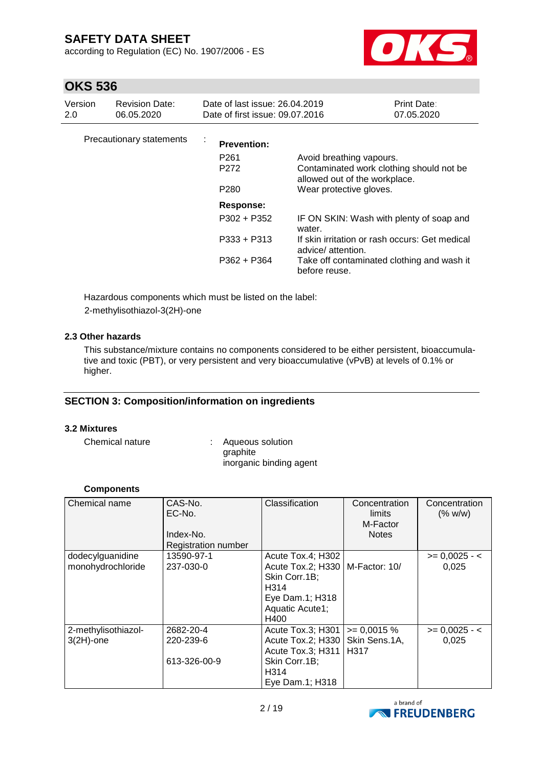according to Regulation (EC) No. 1907/2006 - ES



# **OKS 536**

| Version<br>2.0 | <b>Revision Date:</b><br>06.05.2020 | Date of last issue: 26.04.2019<br>Date of first issue: 09.07.2016          |                                                                                                       | Print Date:<br>07.05.2020 |
|----------------|-------------------------------------|----------------------------------------------------------------------------|-------------------------------------------------------------------------------------------------------|---------------------------|
|                | Precautionary statements            | $\mathbf{r}$<br><b>Prevention:</b><br>P <sub>261</sub><br>P <sub>272</sub> | Avoid breathing vapours.<br>Contaminated work clothing should not be<br>allowed out of the workplace. |                           |
|                |                                     | P <sub>280</sub>                                                           | Wear protective gloves.                                                                               |                           |
|                |                                     | Response:                                                                  |                                                                                                       |                           |
|                |                                     | $P302 + P352$                                                              | IF ON SKIN: Wash with plenty of soap and<br>water.                                                    |                           |
|                |                                     | $P333 + P313$                                                              | If skin irritation or rash occurs: Get medical<br>advice/attention.                                   |                           |
|                |                                     | P362 + P364                                                                | Take off contaminated clothing and wash it<br>before reuse.                                           |                           |

Hazardous components which must be listed on the label: 2-methylisothiazol-3(2H)-one

#### **2.3 Other hazards**

This substance/mixture contains no components considered to be either persistent, bioaccumulative and toxic (PBT), or very persistent and very bioaccumulative (vPvB) at levels of 0.1% or higher.

## **SECTION 3: Composition/information on ingredients**

#### **3.2 Mixtures**

| Chemical nature | : Aqueous solution      |
|-----------------|-------------------------|
|                 | graphite                |
|                 | inorganic binding agent |

#### **Components**

| Chemical name                         | CAS-No.<br>EC-No.<br>Index-No.<br><b>Registration number</b> | Classification                                                                                                                | Concentration<br>limits<br>M-Factor<br><b>Notes</b> | Concentration<br>(% w/w)    |
|---------------------------------------|--------------------------------------------------------------|-------------------------------------------------------------------------------------------------------------------------------|-----------------------------------------------------|-----------------------------|
| dodecylguanidine<br>monohydrochloride | 13590-97-1<br>237-030-0                                      | Acute Tox.4; H302<br>Acute Tox.2; H330   M-Factor: 10/<br>Skin Corr.1B;<br>H314<br>Eye Dam.1; H318<br>Aquatic Acute1;<br>H400 |                                                     | $\ge$ = 0,0025 - <<br>0,025 |
| 2-methylisothiazol-<br>$3(2H)$ -one   | 2682-20-4<br>220-239-6<br>613-326-00-9                       | Acute Tox.3; H301<br>Acute Tox.2; H330   Skin Sens.1A,<br>Acute Tox.3; H311<br>Skin Corr.1B;<br>H314<br>Eye Dam.1; H318       | $\geq 0.0015$ %<br><b>H317</b>                      | $>= 0,0025 - 5$<br>0,025    |

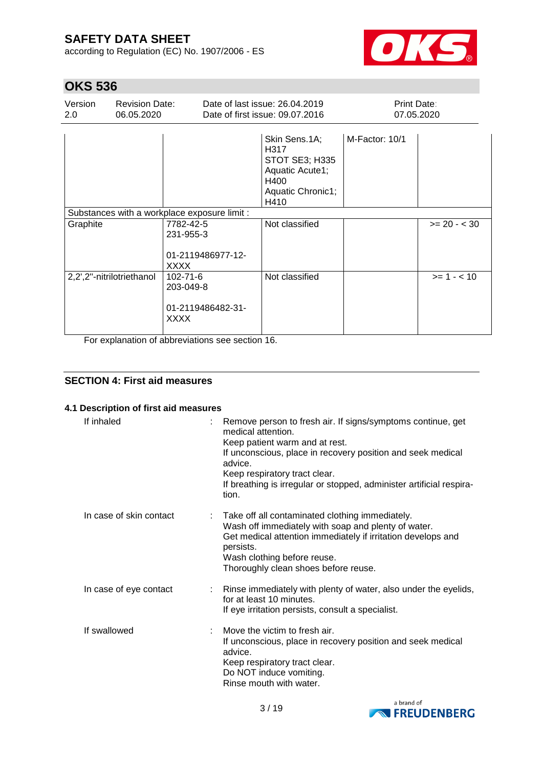according to Regulation (EC) No. 1907/2006 - ES



# **OKS 536**

| Version<br>2.0 | <b>Revision Date:</b><br>06.05.2020                      |                                                                                                    | Date of last issue: 26.04.2019<br>Date of first issue: 09.07.2016                                      | <b>Print Date:</b> | 07.05.2020    |
|----------------|----------------------------------------------------------|----------------------------------------------------------------------------------------------------|--------------------------------------------------------------------------------------------------------|--------------------|---------------|
|                |                                                          |                                                                                                    | Skin Sens.1A;<br>H317<br><b>STOT SE3; H335</b><br>Aquatic Acute1;<br>H400<br>Aquatic Chronic1;<br>H410 | M-Factor: 10/1     |               |
|                |                                                          | Substances with a workplace exposure limit :                                                       |                                                                                                        |                    |               |
| Graphite       |                                                          | 7782-42-5<br>231-955-3<br>01-2119486977-12-<br><b>XXXX</b>                                         | Not classified                                                                                         |                    | $>= 20 - 30$  |
| <u>в. на п</u> | 2,2',2"-nitrilotriethanol<br>and the company of the com- | 102-71-6<br>203-049-8<br>01-2119486482-31-<br><b>XXXX</b><br>and the first control of the state of | Not classified                                                                                         |                    | $>= 1 - < 10$ |

For explanation of abbreviations see section 16.

## **SECTION 4: First aid measures**

#### **4.1 Description of first aid measures**

| If inhaled              | Remove person to fresh air. If signs/symptoms continue, get<br>medical attention.<br>Keep patient warm and at rest.<br>If unconscious, place in recovery position and seek medical<br>advice.<br>Keep respiratory tract clear.<br>If breathing is irregular or stopped, administer artificial respira-<br>tion. |
|-------------------------|-----------------------------------------------------------------------------------------------------------------------------------------------------------------------------------------------------------------------------------------------------------------------------------------------------------------|
| In case of skin contact | : Take off all contaminated clothing immediately.<br>Wash off immediately with soap and plenty of water.<br>Get medical attention immediately if irritation develops and<br>persists.<br>Wash clothing before reuse.<br>Thoroughly clean shoes before reuse.                                                    |
| In case of eye contact  | : Rinse immediately with plenty of water, also under the eyelids,<br>for at least 10 minutes.<br>If eye irritation persists, consult a specialist.                                                                                                                                                              |
| If swallowed            | Move the victim to fresh air.<br>If unconscious, place in recovery position and seek medical<br>advice.<br>Keep respiratory tract clear.<br>Do NOT induce vomiting.<br>Rinse mouth with water.                                                                                                                  |

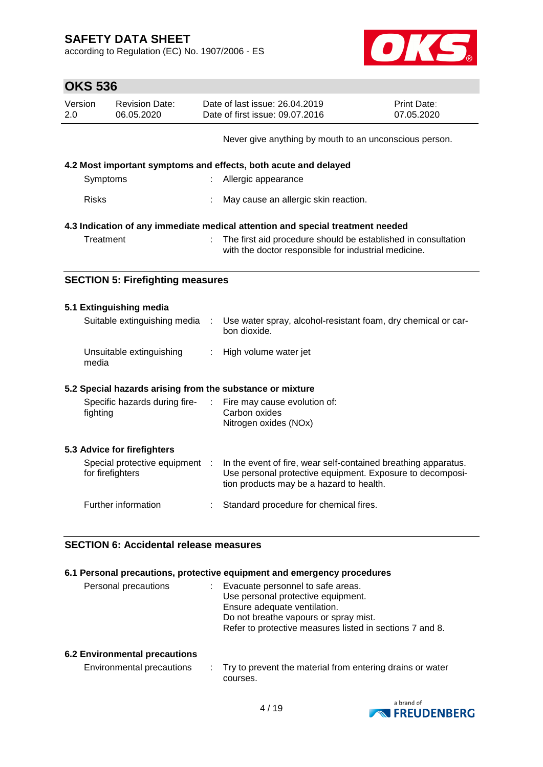according to Regulation (EC) No. 1907/2006 - ES



# **OKS 536**

| UNJ 330        |                                                           |  |                                                                                                                                                                         |                           |  |
|----------------|-----------------------------------------------------------|--|-------------------------------------------------------------------------------------------------------------------------------------------------------------------------|---------------------------|--|
| Version<br>2.0 | <b>Revision Date:</b><br>06.05.2020                       |  | Date of last issue: 26.04.2019<br>Date of first issue: 09.07.2016                                                                                                       | Print Date:<br>07.05.2020 |  |
|                |                                                           |  | Never give anything by mouth to an unconscious person.                                                                                                                  |                           |  |
|                |                                                           |  | 4.2 Most important symptoms and effects, both acute and delayed                                                                                                         |                           |  |
|                | Symptoms                                                  |  | Allergic appearance                                                                                                                                                     |                           |  |
| <b>Risks</b>   |                                                           |  | May cause an allergic skin reaction.                                                                                                                                    |                           |  |
|                |                                                           |  | 4.3 Indication of any immediate medical attention and special treatment needed                                                                                          |                           |  |
|                | Treatment                                                 |  | The first aid procedure should be established in consultation<br>with the doctor responsible for industrial medicine.                                                   |                           |  |
|                | <b>SECTION 5: Firefighting measures</b>                   |  |                                                                                                                                                                         |                           |  |
|                | 5.1 Extinguishing media                                   |  |                                                                                                                                                                         |                           |  |
|                | Suitable extinguishing media                              |  | Use water spray, alcohol-resistant foam, dry chemical or car-<br>bon dioxide.                                                                                           |                           |  |
| media          | Unsuitable extinguishing                                  |  | High volume water jet                                                                                                                                                   |                           |  |
|                | 5.2 Special hazards arising from the substance or mixture |  |                                                                                                                                                                         |                           |  |
|                | Specific hazards during fire-<br>fighting                 |  | Fire may cause evolution of:<br>Carbon oxides<br>Nitrogen oxides (NOx)                                                                                                  |                           |  |
|                | 5.3 Advice for firefighters                               |  |                                                                                                                                                                         |                           |  |
|                | Special protective equipment<br>for firefighters          |  | In the event of fire, wear self-contained breathing apparatus.<br>Use personal protective equipment. Exposure to decomposi-<br>tion products may be a hazard to health. |                           |  |

# **SECTION 6: Accidental release measures**

#### **6.1 Personal precautions, protective equipment and emergency procedures**

Further information : Standard procedure for chemical fires.

| Personal precautions | : Evacuate personnel to safe areas.                      |
|----------------------|----------------------------------------------------------|
|                      | Use personal protective equipment.                       |
|                      | Ensure adequate ventilation.                             |
|                      | Do not breathe vapours or spray mist.                    |
|                      | Refer to protective measures listed in sections 7 and 8. |
|                      |                                                          |

#### **6.2 Environmental precautions**

| Environmental precautions | Try to prevent the material from entering drains or water |
|---------------------------|-----------------------------------------------------------|
|                           | courses.                                                  |

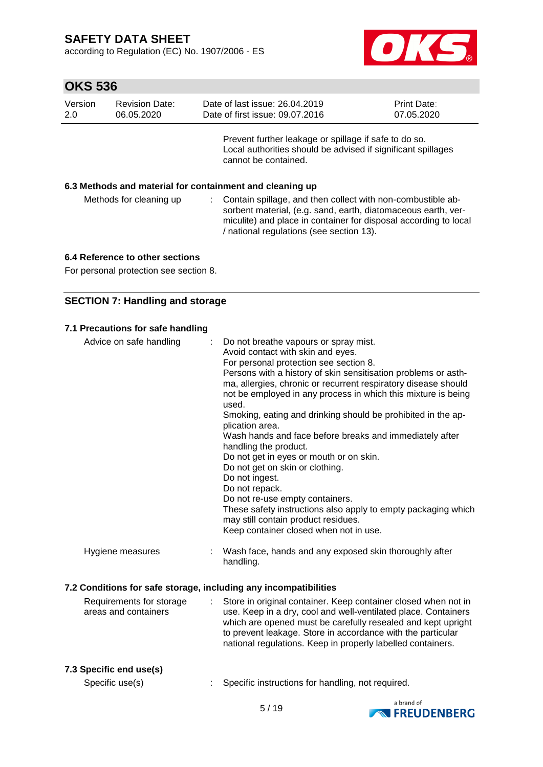according to Regulation (EC) No. 1907/2006 - ES



| Version<br>2.0 | <b>Revision Date:</b><br>06.05.2020                      | Date of last issue: 26,04,2019<br>Date of first issue: 09.07.2016 |                                                                                                                                                                                                                                              | <b>Print Date:</b><br>07.05.2020 |  |  |  |
|----------------|----------------------------------------------------------|-------------------------------------------------------------------|----------------------------------------------------------------------------------------------------------------------------------------------------------------------------------------------------------------------------------------------|----------------------------------|--|--|--|
|                |                                                          | cannot be contained.                                              | Prevent further leakage or spillage if safe to do so.<br>Local authorities should be advised if significant spillages                                                                                                                        |                                  |  |  |  |
|                | 6.3 Methods and material for containment and cleaning up |                                                                   |                                                                                                                                                                                                                                              |                                  |  |  |  |
|                | Methods for cleaning up                                  |                                                                   | Contain spillage, and then collect with non-combustible ab-<br>sorbent material, (e.g. sand, earth, diatomaceous earth, ver-<br>miculite) and place in container for disposal according to local<br>/ national regulations (see section 13). |                                  |  |  |  |

#### **6.4 Reference to other sections**

For personal protection see section 8.

#### **SECTION 7: Handling and storage**

#### **7.1 Precautions for safe handling**

| Advice on safe handling                                          | Do not breathe vapours or spray mist.<br>Avoid contact with skin and eyes.<br>For personal protection see section 8.<br>Persons with a history of skin sensitisation problems or asth-<br>ma, allergies, chronic or recurrent respiratory disease should<br>not be employed in any process in which this mixture is being<br>used.<br>Smoking, eating and drinking should be prohibited in the ap-<br>plication area.<br>Wash hands and face before breaks and immediately after<br>handling the product.<br>Do not get in eyes or mouth or on skin.<br>Do not get on skin or clothing.<br>Do not ingest.<br>Do not repack.<br>Do not re-use empty containers.<br>These safety instructions also apply to empty packaging which<br>may still contain product residues.<br>Keep container closed when not in use. |
|------------------------------------------------------------------|------------------------------------------------------------------------------------------------------------------------------------------------------------------------------------------------------------------------------------------------------------------------------------------------------------------------------------------------------------------------------------------------------------------------------------------------------------------------------------------------------------------------------------------------------------------------------------------------------------------------------------------------------------------------------------------------------------------------------------------------------------------------------------------------------------------|
| Hygiene measures                                                 | Wash face, hands and any exposed skin thoroughly after<br>handling.                                                                                                                                                                                                                                                                                                                                                                                                                                                                                                                                                                                                                                                                                                                                              |
| 7.2 Conditions for safe storage, including any incompatibilities |                                                                                                                                                                                                                                                                                                                                                                                                                                                                                                                                                                                                                                                                                                                                                                                                                  |
| Requirements for storage<br>areas and containers                 | Store in original container. Keep container closed when not in<br>÷<br>use. Keep in a dry, cool and well-ventilated place. Containers                                                                                                                                                                                                                                                                                                                                                                                                                                                                                                                                                                                                                                                                            |

#### use. Keep in a dry, cool and well-ventilated place. Containers which are opened must be carefully resealed and kept upright to prevent leakage. Store in accordance with the particular national regulations. Keep in properly labelled containers.

#### **7.3 Specific end use(s)**

Specific use(s) : Specific instructions for handling, not required.

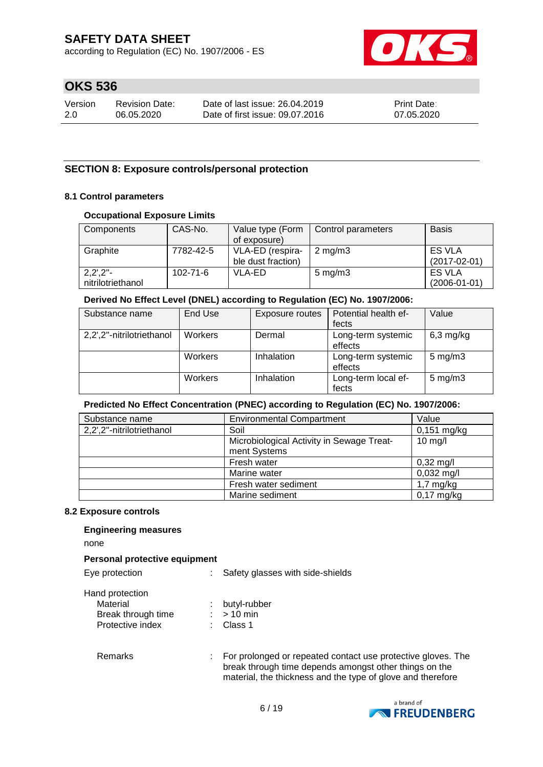according to Regulation (EC) No. 1907/2006 - ES



# **OKS 536**

| Version | <b>Revision Date:</b> | Date of last issue: 26.04.2019  | <b>Print Date:</b> |
|---------|-----------------------|---------------------------------|--------------------|
| 2.0     | 06.05.2020            | Date of first issue: 09.07.2016 | 07.05.2020         |

#### **SECTION 8: Exposure controls/personal protection**

#### **8.1 Control parameters**

#### **Occupational Exposure Limits**

| Components                                             | CAS-No.        | Value type (Form<br>of exposure)       | Control parameters | <b>Basis</b>                        |
|--------------------------------------------------------|----------------|----------------------------------------|--------------------|-------------------------------------|
| Graphite                                               | 7782-42-5      | VLA-ED (respira-<br>ble dust fraction) | $2 \text{ mg/m}$   | <b>ES VLA</b><br>$(2017-02-01)$     |
| $2,2^{\prime},2^{\prime\prime}$ -<br>nitrilotriethanol | $102 - 71 - 6$ | VLA-ED                                 | $5 \text{ mg/m}$ 3 | <b>ES VLA</b><br>$(2006 - 01 - 01)$ |

#### **Derived No Effect Level (DNEL) according to Regulation (EC) No. 1907/2006:**

| Substance name            | End Use | Exposure routes | Potential health ef-<br>fects | Value              |
|---------------------------|---------|-----------------|-------------------------------|--------------------|
| 2,2',2"-nitrilotriethanol | Workers | Dermal          | Long-term systemic<br>effects | $6,3$ mg/kg        |
|                           | Workers | Inhalation      | Long-term systemic<br>effects | $5$ mg/m $3$       |
|                           | Workers | Inhalation      | Long-term local ef-<br>fects  | $5 \text{ mg/m}$ 3 |

#### **Predicted No Effect Concentration (PNEC) according to Regulation (EC) No. 1907/2006:**

| Substance name            | <b>Environmental Compartment</b>                          | Value               |
|---------------------------|-----------------------------------------------------------|---------------------|
| 2,2',2"-nitrilotriethanol | Soil                                                      | $0,151$ mg/kg       |
|                           | Microbiological Activity in Sewage Treat-<br>ment Systems | $10$ mg/l           |
|                           | Fresh water                                               | $0,32 \text{ mg/l}$ |
|                           | Marine water                                              | $0,032$ mg/l        |
|                           | Fresh water sediment                                      | $1,7$ mg/kg         |
|                           | Marine sediment                                           | $0,17$ mg/kg        |

#### **8.2 Exposure controls**

#### **Engineering measures**

none

#### **Personal protective equipment**

| Eye protection                                                        | : Safety glasses with side-shields        |
|-----------------------------------------------------------------------|-------------------------------------------|
| Hand protection<br>Material<br>Break through time<br>Protective index | : butyl-rubber<br>$:$ > 10 min<br>Class 1 |

Remarks : For prolonged or repeated contact use protective gloves. The break through time depends amongst other things on the material, the thickness and the type of glove and therefore

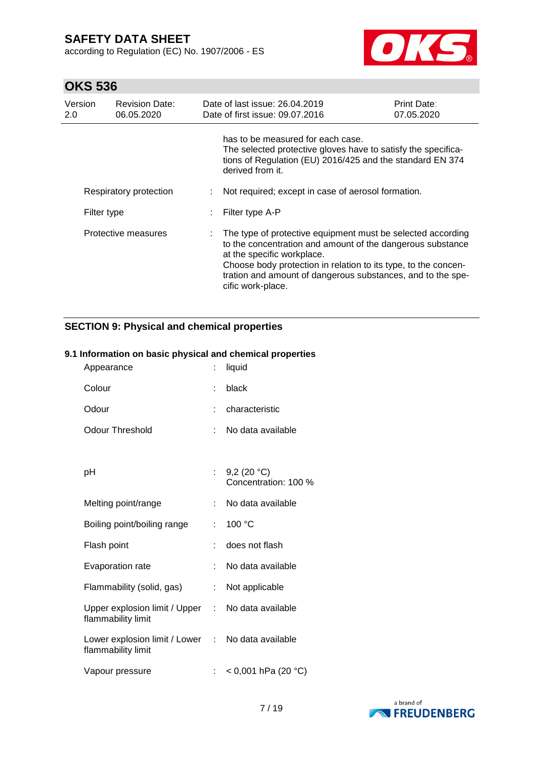according to Regulation (EC) No. 1907/2006 - ES



# **OKS 536**

| Version<br>2.0 | <b>Revision Date:</b><br>06.05.2020 | Date of last issue: 26.04.2019<br>Date of first issue: 09.07.2016                                                                                                                                                                                                                                             | <b>Print Date:</b><br>07.05.2020 |
|----------------|-------------------------------------|---------------------------------------------------------------------------------------------------------------------------------------------------------------------------------------------------------------------------------------------------------------------------------------------------------------|----------------------------------|
|                |                                     | has to be measured for each case.<br>The selected protective gloves have to satisfy the specifica-<br>tions of Regulation (EU) 2016/425 and the standard EN 374<br>derived from it.                                                                                                                           |                                  |
|                | Respiratory protection              | Not required; except in case of aerosol formation.                                                                                                                                                                                                                                                            |                                  |
| Filter type    |                                     | Filter type A-P                                                                                                                                                                                                                                                                                               |                                  |
|                | Protective measures                 | The type of protective equipment must be selected according<br>to the concentration and amount of the dangerous substance<br>at the specific workplace.<br>Choose body protection in relation to its type, to the concen-<br>tration and amount of dangerous substances, and to the spe-<br>cific work-place. |                                  |

## **SECTION 9: Physical and chemical properties**

#### **9.1 Information on basic physical and chemical properties**

| Appearance                                                              |    | liquid                                |
|-------------------------------------------------------------------------|----|---------------------------------------|
| Colour                                                                  |    | black                                 |
| Odour                                                                   | t  | characteristic                        |
| Odour Threshold                                                         | t. | No data available                     |
|                                                                         |    |                                       |
| рH                                                                      | t. | 9,2 $(20 °C)$<br>Concentration: 100 % |
| Melting point/range                                                     | ÷  | No data available                     |
| Boiling point/boiling range                                             | t. | 100 °C                                |
| Flash point                                                             | ÷  | does not flash                        |
| Evaporation rate                                                        | t. | No data available                     |
| Flammability (solid, gas)                                               | t. | Not applicable                        |
| Upper explosion limit / Upper :<br>flammability limit                   |    | No data available                     |
| Lower explosion limit / Lower : No data available<br>flammability limit |    |                                       |
| Vapour pressure                                                         | t. | $<$ 0,001 hPa (20 °C)                 |

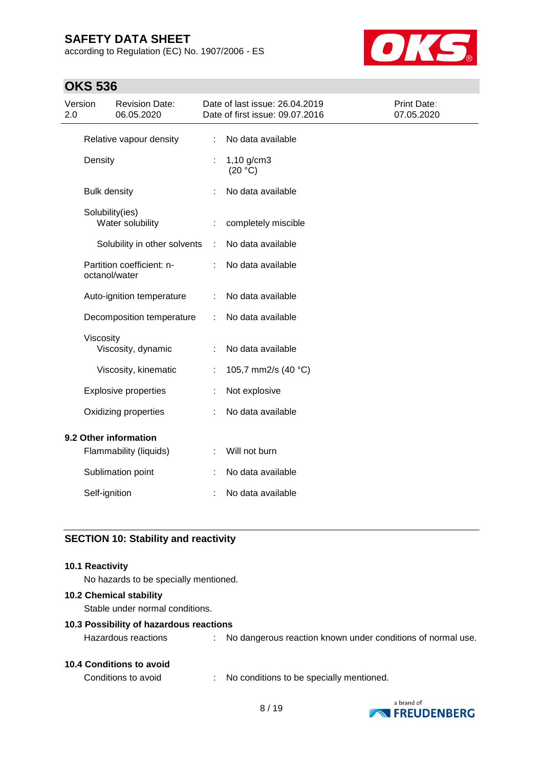according to Regulation (EC) No. 1907/2006 - ES



# **OKS 536**

| Version<br>2.0        |                     | <b>Revision Date:</b><br>06.05.2020 |   | Date of last issue: 26.04.2019<br>Date of first issue: 09.07.2016 | Print Date:<br>07.05.2020 |
|-----------------------|---------------------|-------------------------------------|---|-------------------------------------------------------------------|---------------------------|
|                       |                     | Relative vapour density             |   | No data available                                                 |                           |
|                       | Density             |                                     |   | $1,10$ g/cm3<br>(20 °C)                                           |                           |
|                       | <b>Bulk density</b> |                                     |   | No data available                                                 |                           |
|                       | Solubility(ies)     | Water solubility                    | ÷ | completely miscible                                               |                           |
|                       |                     | Solubility in other solvents        | ÷ | No data available                                                 |                           |
|                       | octanol/water       | Partition coefficient: n-           |   | No data available                                                 |                           |
|                       |                     | Auto-ignition temperature           |   | No data available                                                 |                           |
|                       |                     | Decomposition temperature           |   | No data available                                                 |                           |
|                       | Viscosity           | Viscosity, dynamic                  |   | No data available                                                 |                           |
|                       |                     | Viscosity, kinematic                |   | 105,7 mm2/s (40 °C)                                               |                           |
|                       |                     | <b>Explosive properties</b>         |   | Not explosive                                                     |                           |
|                       |                     | Oxidizing properties                |   | No data available                                                 |                           |
| 9.2 Other information |                     |                                     |   |                                                                   |                           |
|                       |                     | Flammability (liquids)              | t | Will not burn                                                     |                           |
|                       |                     | Sublimation point                   |   | No data available                                                 |                           |
|                       | Self-ignition       |                                     |   | No data available                                                 |                           |

## **SECTION 10: Stability and reactivity**

#### **10.1 Reactivity**

No hazards to be specially mentioned.

#### **10.2 Chemical stability**

Stable under normal conditions.

#### **10.3 Possibility of hazardous reactions**

Hazardous reactions : No dangerous reaction known under conditions of normal use.

#### **10.4 Conditions to avoid**

Conditions to avoid : No conditions to be specially mentioned.

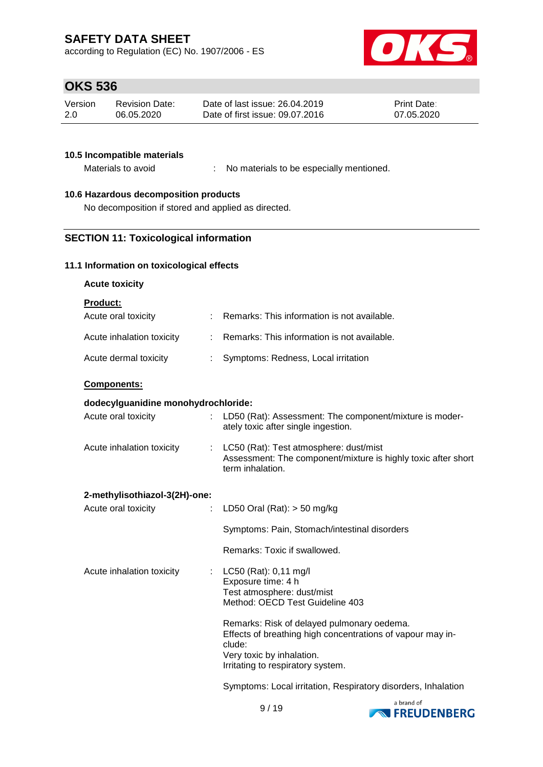according to Regulation (EC) No. 1907/2006 - ES



# **OKS 536**

| Version | Revision Date: | Date of last issue: 26.04.2019  | <b>Print Date:</b> |
|---------|----------------|---------------------------------|--------------------|
| 2.0     | 06.05.2020     | Date of first issue: 09.07.2016 | 07.05.2020         |

#### **10.5 Incompatible materials**

Materials to avoid : No materials to be especially mentioned.

## **10.6 Hazardous decomposition products**

No decomposition if stored and applied as directed.

## **SECTION 11: Toxicological information**

## **11.1 Information on toxicological effects**

## **Acute toxicity**

**Product:**

| Acute oral toxicity       | : Remarks: This information is not available. |
|---------------------------|-----------------------------------------------|
| Acute inhalation toxicity | : Remarks: This information is not available. |
| Acute dermal toxicity     | Symptoms: Redness, Local irritation           |

## **Components:**

## **dodecylguanidine monohydrochloride:**

| Acute oral toxicity           | LD50 (Rat): Assessment: The component/mixture is moder-<br>ately toxic after single ingestion.                              |
|-------------------------------|-----------------------------------------------------------------------------------------------------------------------------|
| Acute inhalation toxicity     | LC50 (Rat): Test atmosphere: dust/mist<br>Assessment: The component/mixture is highly toxic after short<br>term inhalation. |
| 2-methylisothiazol-3(2H)-one: |                                                                                                                             |
| Acute oral toxicity           | LD50 Oral (Rat): $>$ 50 mg/kg                                                                                               |
|                               | Symptoms: Pain, Stomach/intestinal disorders                                                                                |
|                               | Remarks: Toxic if swallowed.                                                                                                |

| Acute inhalation toxicity | : $LC50$ (Rat): 0,11 mg/l<br>Exposure time: 4 h<br>Test atmosphere: dust/mist<br>Method: OECD Test Guideline 403                                                                     |
|---------------------------|--------------------------------------------------------------------------------------------------------------------------------------------------------------------------------------|
|                           | Remarks: Risk of delayed pulmonary oedema.<br>Effects of breathing high concentrations of vapour may in-<br>clude:<br>Very toxic by inhalation.<br>Irritating to respiratory system. |

Symptoms: Local irritation, Respiratory disorders, Inhalation

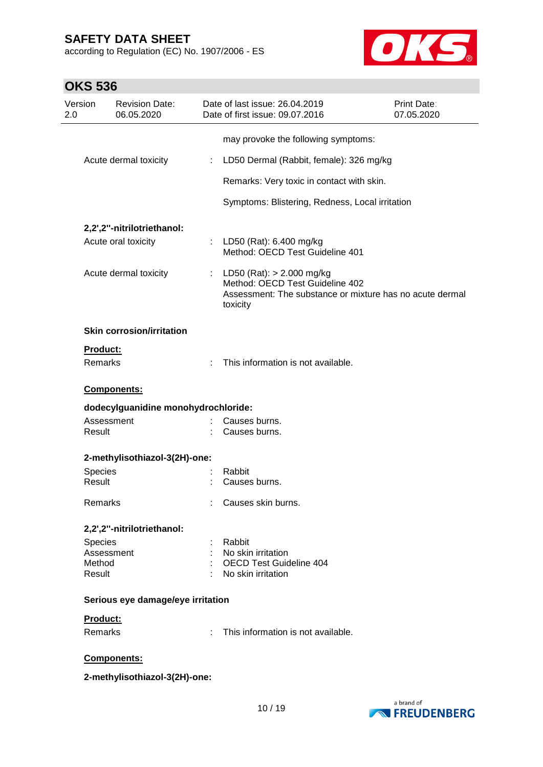according to Regulation (EC) No. 1907/2006 - ES



| Version<br><b>Revision Date:</b><br>06.05.2020 |    | Date of last issue: 26.04.2019<br>Date of first issue: 09.07.2016                                                                        | Print Date:<br>07.05.2020 |
|------------------------------------------------|----|------------------------------------------------------------------------------------------------------------------------------------------|---------------------------|
|                                                |    |                                                                                                                                          |                           |
|                                                |    | may provoke the following symptoms:                                                                                                      |                           |
| Acute dermal toxicity                          | ÷  | LD50 Dermal (Rabbit, female): 326 mg/kg                                                                                                  |                           |
|                                                |    | Remarks: Very toxic in contact with skin.                                                                                                |                           |
|                                                |    | Symptoms: Blistering, Redness, Local irritation                                                                                          |                           |
| 2,2',2"-nitrilotriethanol:                     |    |                                                                                                                                          |                           |
| Acute oral toxicity                            |    | : LD50 (Rat): 6.400 mg/kg<br>Method: OECD Test Guideline 401                                                                             |                           |
| Acute dermal toxicity                          |    | : LD50 (Rat): $> 2.000$ mg/kg<br>Method: OECD Test Guideline 402<br>Assessment: The substance or mixture has no acute dermal<br>toxicity |                           |
| <b>Skin corrosion/irritation</b>               |    |                                                                                                                                          |                           |
| Product:                                       |    |                                                                                                                                          |                           |
| <b>Remarks</b>                                 |    | This information is not available.                                                                                                       |                           |
| <b>Components:</b>                             |    |                                                                                                                                          |                           |
| dodecylguanidine monohydrochloride:            |    |                                                                                                                                          |                           |
| Assessment<br>Result                           |    | Causes burns.<br>Causes burns.                                                                                                           |                           |
| 2-methylisothiazol-3(2H)-one:                  |    |                                                                                                                                          |                           |
| <b>Species</b>                                 |    | Rabbit                                                                                                                                   |                           |
| Result                                         |    | Causes burns.                                                                                                                            |                           |
| Remarks                                        |    | Causes skin burns.                                                                                                                       |                           |
| 2,2',2"-nitrilotriethanol:                     |    |                                                                                                                                          |                           |
| Species                                        |    | Rabbit                                                                                                                                   |                           |
| Assessment                                     |    | No skin irritation                                                                                                                       |                           |
| Method                                         |    | <b>OECD Test Guideline 404</b>                                                                                                           |                           |
| Result                                         |    | : No skin irritation                                                                                                                     |                           |
| Serious eye damage/eye irritation              |    |                                                                                                                                          |                           |
| Product:                                       |    |                                                                                                                                          |                           |
| Remarks                                        | ÷. | This information is not available.                                                                                                       |                           |
| Components:                                    |    |                                                                                                                                          |                           |
| 2-methylisothiazol-3(2H)-one:                  |    |                                                                                                                                          |                           |

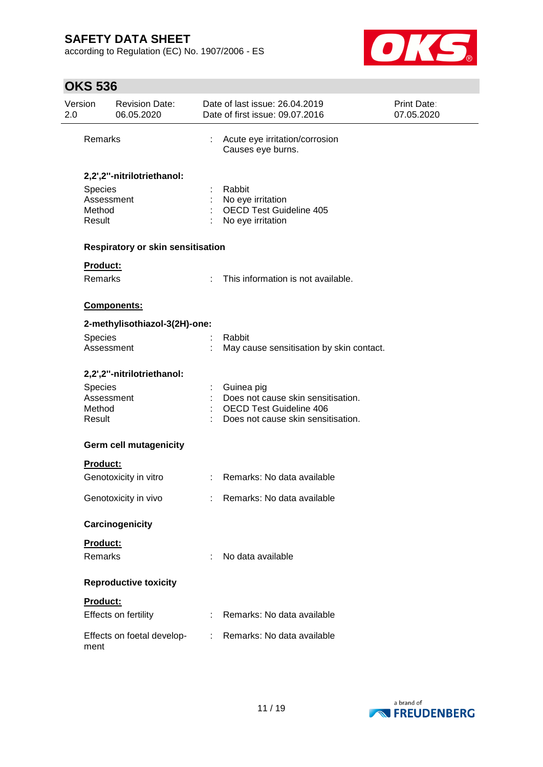according to Regulation (EC) No. 1907/2006 - ES



# **OKS 536**

| Version<br>2.0 |                                           | <b>Revision Date:</b><br>06.05.2020 |   | Date of last issue: 26.04.2019<br>Date of first issue: 09.07.2016                                                        | Print Date:<br>07.05.2020 |
|----------------|-------------------------------------------|-------------------------------------|---|--------------------------------------------------------------------------------------------------------------------------|---------------------------|
|                | Remarks                                   |                                     | t | Acute eye irritation/corrosion<br>Causes eye burns.                                                                      |                           |
|                |                                           | 2,2',2"-nitrilotriethanol:          |   |                                                                                                                          |                           |
|                | Species<br>Assessment                     |                                     |   | Rabbit<br>No eye irritation                                                                                              |                           |
|                | Method<br>Result                          |                                     |   | <b>OECD Test Guideline 405</b><br>No eye irritation                                                                      |                           |
|                |                                           | Respiratory or skin sensitisation   |   |                                                                                                                          |                           |
|                | Product:                                  |                                     |   |                                                                                                                          |                           |
|                | Remarks                                   |                                     | ÷ | This information is not available.                                                                                       |                           |
|                |                                           | Components:                         |   |                                                                                                                          |                           |
|                |                                           | 2-methylisothiazol-3(2H)-one:       |   |                                                                                                                          |                           |
|                | Species<br>Assessment                     |                                     |   | Rabbit<br>May cause sensitisation by skin contact.                                                                       |                           |
|                |                                           | 2,2',2"-nitrilotriethanol:          |   |                                                                                                                          |                           |
|                | Species<br>Assessment<br>Method<br>Result |                                     |   | Guinea pig<br>Does not cause skin sensitisation.<br><b>OECD Test Guideline 406</b><br>Does not cause skin sensitisation. |                           |
|                |                                           | <b>Germ cell mutagenicity</b>       |   |                                                                                                                          |                           |
|                | Product:                                  |                                     |   |                                                                                                                          |                           |
|                |                                           | Genotoxicity in vitro               |   | Remarks: No data available                                                                                               |                           |
|                |                                           | Genotoxicity in vivo                |   | Remarks: No data available                                                                                               |                           |
|                |                                           | Carcinogenicity                     |   |                                                                                                                          |                           |
|                | Product:                                  |                                     |   |                                                                                                                          |                           |
|                | Remarks                                   |                                     | ÷ | No data available                                                                                                        |                           |
|                |                                           | <b>Reproductive toxicity</b>        |   |                                                                                                                          |                           |
|                | Product:                                  |                                     |   |                                                                                                                          |                           |
|                |                                           | Effects on fertility                |   | Remarks: No data available                                                                                               |                           |
|                | ment                                      | Effects on foetal develop-          |   | Remarks: No data available                                                                                               |                           |

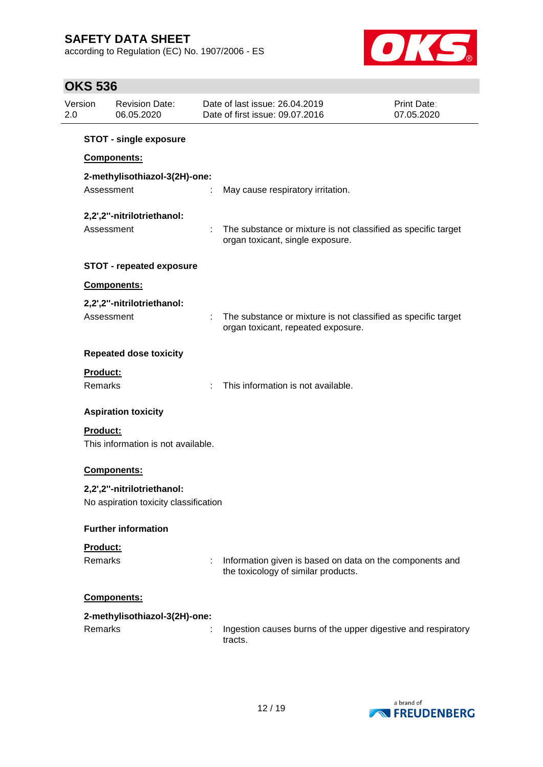according to Regulation (EC) No. 1907/2006 - ES



# **OKS 536**

| Version<br>2.0 |                 | <b>Revision Date:</b><br>06.05.2020   |   | Date of last issue: 26.04.2019<br>Date of first issue: 09.07.2016                                   | <b>Print Date:</b><br>07.05.2020 |
|----------------|-----------------|---------------------------------------|---|-----------------------------------------------------------------------------------------------------|----------------------------------|
|                |                 | <b>STOT - single exposure</b>         |   |                                                                                                     |                                  |
|                |                 | Components:                           |   |                                                                                                     |                                  |
|                |                 | 2-methylisothiazol-3(2H)-one:         |   |                                                                                                     |                                  |
|                | Assessment      |                                       |   | May cause respiratory irritation.                                                                   |                                  |
|                |                 | 2,2',2"-nitrilotriethanol:            |   |                                                                                                     |                                  |
|                | Assessment      |                                       |   | The substance or mixture is not classified as specific target<br>organ toxicant, single exposure.   |                                  |
|                |                 | <b>STOT - repeated exposure</b>       |   |                                                                                                     |                                  |
|                |                 | <b>Components:</b>                    |   |                                                                                                     |                                  |
|                |                 | 2,2',2"-nitrilotriethanol:            |   |                                                                                                     |                                  |
|                | Assessment      |                                       |   | The substance or mixture is not classified as specific target<br>organ toxicant, repeated exposure. |                                  |
|                |                 | <b>Repeated dose toxicity</b>         |   |                                                                                                     |                                  |
|                | Product:        |                                       |   |                                                                                                     |                                  |
|                | Remarks         |                                       | ÷ | This information is not available.                                                                  |                                  |
|                |                 | <b>Aspiration toxicity</b>            |   |                                                                                                     |                                  |
|                | <b>Product:</b> |                                       |   |                                                                                                     |                                  |
|                |                 | This information is not available.    |   |                                                                                                     |                                  |
|                |                 | Components:                           |   |                                                                                                     |                                  |
|                |                 | 2,2',2"-nitrilotriethanol:            |   |                                                                                                     |                                  |
|                |                 | No aspiration toxicity classification |   |                                                                                                     |                                  |
|                |                 | <b>Further information</b>            |   |                                                                                                     |                                  |
|                | Product:        |                                       |   |                                                                                                     |                                  |
|                | Remarks         |                                       | ÷ | Information given is based on data on the components and<br>the toxicology of similar products.     |                                  |
|                |                 | Components:                           |   |                                                                                                     |                                  |
|                |                 | 2-methylisothiazol-3(2H)-one:         |   |                                                                                                     |                                  |
|                | Remarks         |                                       |   | Ingestion causes burns of the upper digestive and respiratory<br>tracts.                            |                                  |

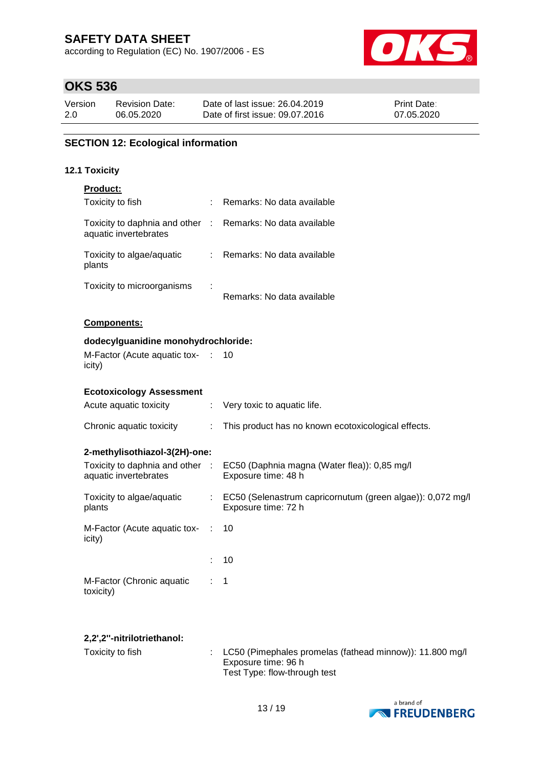according to Regulation (EC) No. 1907/2006 - ES



# **OKS 536**

| Version | <b>Revision Date:</b> | Date of last issue: 26.04.2019  | <b>Print Date:</b> |
|---------|-----------------------|---------------------------------|--------------------|
| 2.0     | 06.05.2020            | Date of first issue: 09.07.2016 | 07.05.2020         |

## **SECTION 12: Ecological information**

#### **12.1 Toxicity**

| <b>Product:</b>                                          |                |                                                                                     |
|----------------------------------------------------------|----------------|-------------------------------------------------------------------------------------|
| Toxicity to fish                                         | t.             | Remarks: No data available                                                          |
| Toxicity to daphnia and other<br>aquatic invertebrates   | $\sim 10^{-1}$ | Remarks: No data available                                                          |
| Toxicity to algae/aquatic<br>plants                      |                | : Remarks: No data available                                                        |
| Toxicity to microorganisms                               |                | Remarks: No data available                                                          |
| <b>Components:</b>                                       |                |                                                                                     |
| dodecylguanidine monohydrochloride:                      |                |                                                                                     |
| M-Factor (Acute aquatic tox- :<br>icity)                 |                | 10                                                                                  |
| <b>Ecotoxicology Assessment</b>                          |                |                                                                                     |
| Acute aquatic toxicity                                   | ÷.             | Very toxic to aquatic life.                                                         |
| Chronic aquatic toxicity                                 | ÷              | This product has no known ecotoxicological effects.                                 |
| 2-methylisothiazol-3(2H)-one:                            |                |                                                                                     |
| Toxicity to daphnia and other :<br>aquatic invertebrates |                | EC50 (Daphnia magna (Water flea)): 0,85 mg/l<br>Exposure time: 48 h                 |
| Toxicity to algae/aquatic<br>plants                      |                | : EC50 (Selenastrum capricornutum (green algae)): 0,072 mg/l<br>Exposure time: 72 h |
| M-Factor (Acute aquatic tox-<br>icity)                   | ÷              | 10                                                                                  |
|                                                          |                | 10                                                                                  |
| M-Factor (Chronic aquatic<br>toxicity)                   |                | 1                                                                                   |
|                                                          |                |                                                                                     |

## **2,2',2''-nitrilotriethanol:**

| Toxicity to fish_ | $\therefore$ LC50 (Pimephales promelas (fathead minnow)): 11.800 mg/l<br>Exposure time: 96 h<br>Test Type: flow-through test |
|-------------------|------------------------------------------------------------------------------------------------------------------------------|
|                   |                                                                                                                              |

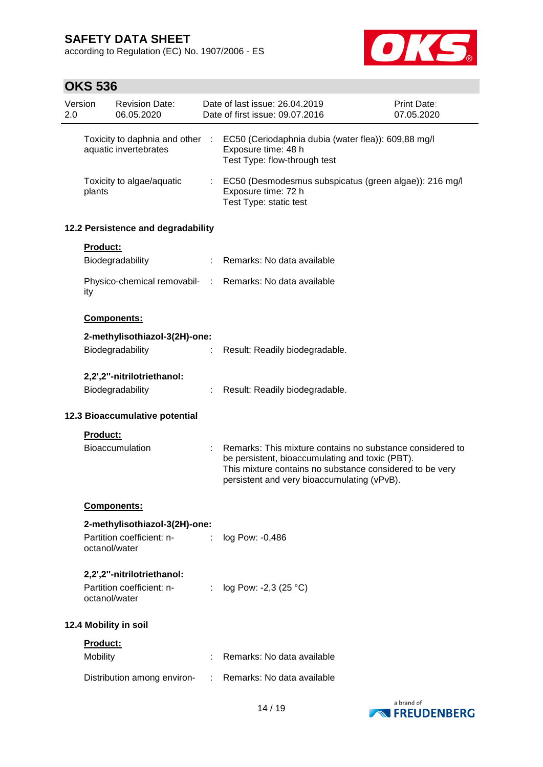according to Regulation (EC) No. 1907/2006 - ES



# **OKS 536**

| 2.0 | Version  | <b>Revision Date:</b><br>06.05.2020                                      |            | Date of last issue: 26.04.2019<br>Date of first issue: 09.07.2016                                                                                                                                                       | <b>Print Date:</b><br>07.05.2020 |
|-----|----------|--------------------------------------------------------------------------|------------|-------------------------------------------------------------------------------------------------------------------------------------------------------------------------------------------------------------------------|----------------------------------|
|     |          | Toxicity to daphnia and other<br>aquatic invertebrates                   | $\sim 100$ | EC50 (Ceriodaphnia dubia (water flea)): 609,88 mg/l<br>Exposure time: 48 h<br>Test Type: flow-through test                                                                                                              |                                  |
|     | plants   | Toxicity to algae/aquatic                                                |            | EC50 (Desmodesmus subspicatus (green algae)): 216 mg/l<br>Exposure time: 72 h<br>Test Type: static test                                                                                                                 |                                  |
|     |          | 12.2 Persistence and degradability                                       |            |                                                                                                                                                                                                                         |                                  |
|     | Product: |                                                                          |            |                                                                                                                                                                                                                         |                                  |
|     |          | Biodegradability                                                         |            | Remarks: No data available                                                                                                                                                                                              |                                  |
|     | ity      | Physico-chemical removabil- :                                            |            | Remarks: No data available                                                                                                                                                                                              |                                  |
|     |          | Components:                                                              |            |                                                                                                                                                                                                                         |                                  |
|     |          | 2-methylisothiazol-3(2H)-one:                                            |            |                                                                                                                                                                                                                         |                                  |
|     |          | Biodegradability                                                         |            | Result: Readily biodegradable.                                                                                                                                                                                          |                                  |
|     |          | 2,2',2"-nitrilotriethanol:                                               |            |                                                                                                                                                                                                                         |                                  |
|     |          | Biodegradability                                                         |            | Result: Readily biodegradable.                                                                                                                                                                                          |                                  |
|     |          | 12.3 Bioaccumulative potential                                           |            |                                                                                                                                                                                                                         |                                  |
|     | Product: |                                                                          |            |                                                                                                                                                                                                                         |                                  |
|     |          | <b>Bioaccumulation</b>                                                   |            | Remarks: This mixture contains no substance considered to<br>be persistent, bioaccumulating and toxic (PBT).<br>This mixture contains no substance considered to be very<br>persistent and very bioaccumulating (vPvB). |                                  |
|     |          | Components:                                                              |            |                                                                                                                                                                                                                         |                                  |
|     |          | 2-methylisothiazol-3(2H)-one:                                            |            |                                                                                                                                                                                                                         |                                  |
|     |          | Partition coefficient: n-<br>octanol/water                               |            | log Pow: -0,486                                                                                                                                                                                                         |                                  |
|     |          | 2,2',2"-nitrilotriethanol:<br>Partition coefficient: n-<br>octanol/water | ÷          | log Pow: -2,3 (25 °C)                                                                                                                                                                                                   |                                  |
|     |          | 12.4 Mobility in soil                                                    |            |                                                                                                                                                                                                                         |                                  |
|     | Product: |                                                                          |            |                                                                                                                                                                                                                         |                                  |
|     | Mobility |                                                                          |            | Remarks: No data available                                                                                                                                                                                              |                                  |
|     |          | Distribution among environ-                                              |            | Remarks: No data available                                                                                                                                                                                              |                                  |

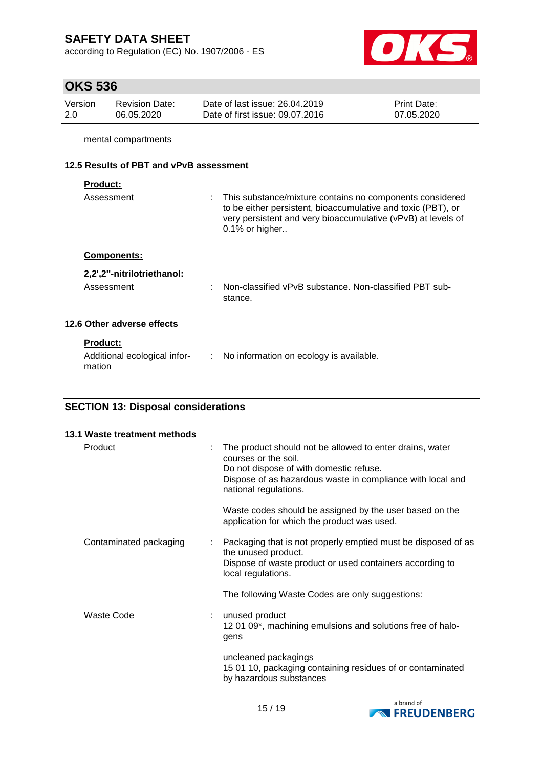according to Regulation (EC) No. 1907/2006 - ES



# **OKS 536**

| Version | Revision Date: | Date of last issue: 26.04.2019  | <b>Print Date:</b> |
|---------|----------------|---------------------------------|--------------------|
| -2.0    | 06.05.2020     | Date of first issue: 09.07.2016 | 07.05.2020         |

mental compartments

## **12.5 Results of PBT and vPvB assessment**

mation

| Assessment                   | : This substance/mixture contains no components considered<br>to be either persistent, bioaccumulative and toxic (PBT), or<br>very persistent and very bioaccumulative (vPvB) at levels of<br>$0.1\%$ or higher |
|------------------------------|-----------------------------------------------------------------------------------------------------------------------------------------------------------------------------------------------------------------|
| <b>Components:</b>           |                                                                                                                                                                                                                 |
| 2,2',2"-nitrilotriethanol:   |                                                                                                                                                                                                                 |
| Assessment                   | Non-classified vPvB substance. Non-classified PBT sub-<br>stance.                                                                                                                                               |
| 12.6 Other adverse effects   |                                                                                                                                                                                                                 |
| <b>Product:</b>              |                                                                                                                                                                                                                 |
| Additional ecological infor- | : No information on ecology is available.                                                                                                                                                                       |

## **SECTION 13: Disposal considerations**

| 13.1 Waste treatment methods |   |                                                                                                                                                                                                                    |
|------------------------------|---|--------------------------------------------------------------------------------------------------------------------------------------------------------------------------------------------------------------------|
| Product                      | ÷ | The product should not be allowed to enter drains, water<br>courses or the soil.<br>Do not dispose of with domestic refuse.<br>Dispose of as hazardous waste in compliance with local and<br>national regulations. |
|                              |   | Waste codes should be assigned by the user based on the<br>application for which the product was used.                                                                                                             |
| Contaminated packaging       | ÷ | Packaging that is not properly emptied must be disposed of as<br>the unused product.<br>Dispose of waste product or used containers according to<br>local regulations.                                             |
|                              |   | The following Waste Codes are only suggestions:                                                                                                                                                                    |
| Waste Code                   | ÷ | unused product<br>1201 09*, machining emulsions and solutions free of halo-<br>gens                                                                                                                                |
|                              |   | uncleaned packagings<br>15 01 10, packaging containing residues of or contaminated<br>by hazardous substances                                                                                                      |

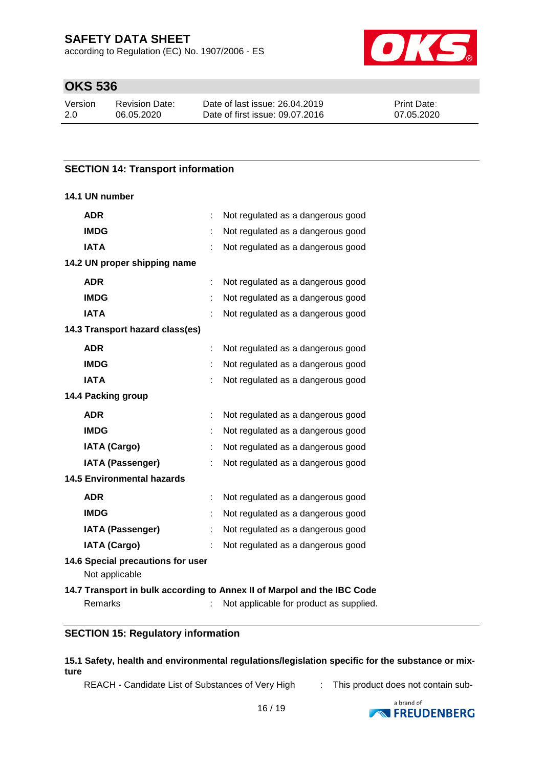according to Regulation (EC) No. 1907/2006 - ES



# **OKS 536**

| Version | <b>Revision Date:</b> | Date |
|---------|-----------------------|------|
| -2.0    | 06.05.2020            | Date |

e of last issue: 26.04.2019 e of first issue: 09.07.2016 Print Date: 07.05.2020

## **SECTION 14: Transport information**

#### **14.1 UN number**

| <b>ADR</b>                                          | Not regulated as a dangerous good                                       |
|-----------------------------------------------------|-------------------------------------------------------------------------|
| <b>IMDG</b>                                         | Not regulated as a dangerous good                                       |
| <b>IATA</b>                                         | Not regulated as a dangerous good                                       |
| 14.2 UN proper shipping name                        |                                                                         |
| <b>ADR</b>                                          | Not regulated as a dangerous good                                       |
| <b>IMDG</b>                                         | Not regulated as a dangerous good                                       |
| <b>IATA</b>                                         | Not regulated as a dangerous good                                       |
| 14.3 Transport hazard class(es)                     |                                                                         |
| <b>ADR</b>                                          | Not regulated as a dangerous good                                       |
| <b>IMDG</b>                                         | Not regulated as a dangerous good                                       |
| <b>IATA</b>                                         | Not regulated as a dangerous good                                       |
| 14.4 Packing group                                  |                                                                         |
| <b>ADR</b>                                          | Not regulated as a dangerous good                                       |
| <b>IMDG</b>                                         | Not regulated as a dangerous good                                       |
| <b>IATA (Cargo)</b>                                 | Not regulated as a dangerous good                                       |
| <b>IATA (Passenger)</b>                             | Not regulated as a dangerous good                                       |
| <b>14.5 Environmental hazards</b>                   |                                                                         |
| <b>ADR</b>                                          | Not regulated as a dangerous good                                       |
| <b>IMDG</b>                                         | Not regulated as a dangerous good                                       |
| <b>IATA (Passenger)</b>                             | Not regulated as a dangerous good                                       |
| <b>IATA (Cargo)</b>                                 | Not regulated as a dangerous good                                       |
| 14.6 Special precautions for user<br>Not applicable |                                                                         |
|                                                     | 14.7 Transport in bulk according to Annex II of Marpol and the IBC Code |
| Remarks                                             | Not applicable for product as supplied.                                 |

## **SECTION 15: Regulatory information**

#### **15.1 Safety, health and environmental regulations/legislation specific for the substance or mixture**

REACH - Candidate List of Substances of Very High : This product does not contain sub-

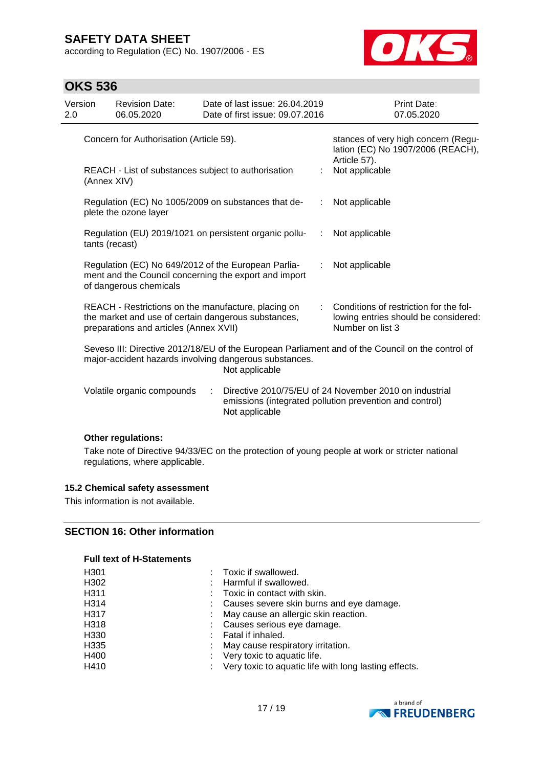according to Regulation (EC) No. 1907/2006 - ES



## **OKS 536**

| Version<br>2.0 |                                                                                                                                                                              | <b>Revision Date:</b><br>06.05.2020                                                                                                                  |   | Date of last issue: 26.04.2019<br>Date of first issue: 09.07.2016 |   | <b>Print Date:</b><br>07.05.2020                                                                                  |
|----------------|------------------------------------------------------------------------------------------------------------------------------------------------------------------------------|------------------------------------------------------------------------------------------------------------------------------------------------------|---|-------------------------------------------------------------------|---|-------------------------------------------------------------------------------------------------------------------|
|                | Concern for Authorisation (Article 59).                                                                                                                                      |                                                                                                                                                      |   |                                                                   |   | stances of very high concern (Regu-<br>lation (EC) No 1907/2006 (REACH),<br>Article 57).                          |
|                | (Annex XIV)                                                                                                                                                                  | REACH - List of substances subject to authorisation                                                                                                  |   |                                                                   |   | Not applicable                                                                                                    |
|                |                                                                                                                                                                              | Regulation (EC) No 1005/2009 on substances that de-<br>plete the ozone layer                                                                         |   |                                                                   | ÷ | Not applicable                                                                                                    |
|                | tants (recast)                                                                                                                                                               |                                                                                                                                                      |   | Regulation (EU) 2019/1021 on persistent organic pollu-            | ÷ | Not applicable                                                                                                    |
|                |                                                                                                                                                                              | Regulation (EC) No 649/2012 of the European Parlia-<br>of dangerous chemicals                                                                        |   | ment and the Council concerning the export and import             |   | Not applicable                                                                                                    |
|                |                                                                                                                                                                              | REACH - Restrictions on the manufacture, placing on<br>the market and use of certain dangerous substances,<br>preparations and articles (Annex XVII) |   |                                                                   |   | Conditions of restriction for the fol-<br>lowing entries should be considered:<br>Number on list 3                |
|                | Seveso III: Directive 2012/18/EU of the European Parliament and of the Council on the control of<br>major-accident hazards involving dangerous substances.<br>Not applicable |                                                                                                                                                      |   |                                                                   |   |                                                                                                                   |
|                |                                                                                                                                                                              | Volatile organic compounds                                                                                                                           | ÷ | Not applicable                                                    |   | Directive 2010/75/EU of 24 November 2010 on industrial<br>emissions (integrated pollution prevention and control) |
|                |                                                                                                                                                                              |                                                                                                                                                      |   |                                                                   |   |                                                                                                                   |

#### **Other regulations:**

Take note of Directive 94/33/EC on the protection of young people at work or stricter national regulations, where applicable.

#### **15.2 Chemical safety assessment**

This information is not available.

## **SECTION 16: Other information**

#### **Full text of H-Statements**

| H301 | Toxic if swallowed.                                     |
|------|---------------------------------------------------------|
| H302 | : Harmful if swallowed.                                 |
| H311 | $\therefore$ Toxic in contact with skin.                |
| H314 | : Causes severe skin burns and eye damage.              |
| H317 | : May cause an allergic skin reaction.                  |
| H318 | : Causes serious eye damage.                            |
| H330 | : Fatal if inhaled.                                     |
| H335 | : May cause respiratory irritation.                     |
| H400 | : Very toxic to aquatic life.                           |
| H410 | : Very toxic to aquatic life with long lasting effects. |
|      |                                                         |

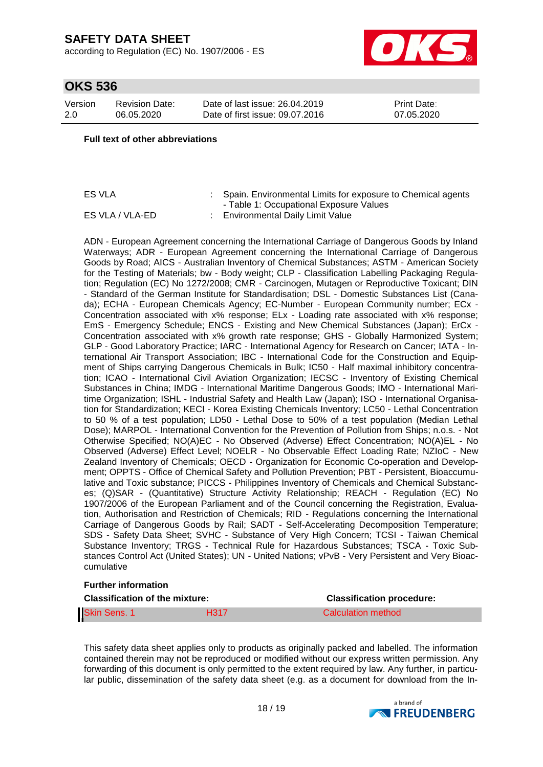according to Regulation (EC) No. 1907/2006 - ES



## **OKS 536**

| Version | <b>Revision Date:</b> |
|---------|-----------------------|
| 2.0     | 06.05.2020            |

Date of last issue: 26.04.2019 Date of first issue: 09.07.2016 Print Date: 07.05.2020

#### **Full text of other abbreviations**

ES VLA : Spain. Environmental Limits for exposure to Chemical agents - Table 1: Occupational Exposure Values ES VLA / VLA-ED : Environmental Daily Limit Value

ADN - European Agreement concerning the International Carriage of Dangerous Goods by Inland Waterways; ADR - European Agreement concerning the International Carriage of Dangerous Goods by Road; AICS - Australian Inventory of Chemical Substances; ASTM - American Society for the Testing of Materials; bw - Body weight; CLP - Classification Labelling Packaging Regulation; Regulation (EC) No 1272/2008; CMR - Carcinogen, Mutagen or Reproductive Toxicant; DIN - Standard of the German Institute for Standardisation; DSL - Domestic Substances List (Canada); ECHA - European Chemicals Agency; EC-Number - European Community number; ECx - Concentration associated with x% response; ELx - Loading rate associated with x% response; EmS - Emergency Schedule; ENCS - Existing and New Chemical Substances (Japan); ErCx - Concentration associated with x% growth rate response; GHS - Globally Harmonized System; GLP - Good Laboratory Practice; IARC - International Agency for Research on Cancer; IATA - International Air Transport Association; IBC - International Code for the Construction and Equipment of Ships carrying Dangerous Chemicals in Bulk; IC50 - Half maximal inhibitory concentration; ICAO - International Civil Aviation Organization; IECSC - Inventory of Existing Chemical Substances in China; IMDG - International Maritime Dangerous Goods; IMO - International Maritime Organization; ISHL - Industrial Safety and Health Law (Japan); ISO - International Organisation for Standardization; KECI - Korea Existing Chemicals Inventory; LC50 - Lethal Concentration to 50 % of a test population; LD50 - Lethal Dose to 50% of a test population (Median Lethal Dose); MARPOL - International Convention for the Prevention of Pollution from Ships; n.o.s. - Not Otherwise Specified; NO(A)EC - No Observed (Adverse) Effect Concentration; NO(A)EL - No Observed (Adverse) Effect Level; NOELR - No Observable Effect Loading Rate; NZIoC - New Zealand Inventory of Chemicals; OECD - Organization for Economic Co-operation and Development; OPPTS - Office of Chemical Safety and Pollution Prevention; PBT - Persistent, Bioaccumulative and Toxic substance; PICCS - Philippines Inventory of Chemicals and Chemical Substances; (Q)SAR - (Quantitative) Structure Activity Relationship; REACH - Regulation (EC) No 1907/2006 of the European Parliament and of the Council concerning the Registration, Evaluation, Authorisation and Restriction of Chemicals; RID - Regulations concerning the International Carriage of Dangerous Goods by Rail; SADT - Self-Accelerating Decomposition Temperature; SDS - Safety Data Sheet; SVHC - Substance of Very High Concern; TCSI - Taiwan Chemical Substance Inventory; TRGS - Technical Rule for Hazardous Substances; TSCA - Toxic Substances Control Act (United States); UN - United Nations; vPvB - Very Persistent and Very Bioaccumulative

#### **Further information**

| <b>Classification of the mixture:</b> | <b>Classification procedure:</b> |                    |
|---------------------------------------|----------------------------------|--------------------|
| <b>Skin Sens. 1</b>                   | <b>H317</b>                      | Calculation method |

This safety data sheet applies only to products as originally packed and labelled. The information contained therein may not be reproduced or modified without our express written permission. Any forwarding of this document is only permitted to the extent required by law. Any further, in particular public, dissemination of the safety data sheet (e.g. as a document for download from the In-